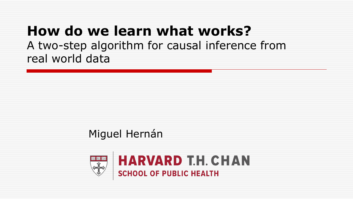### **How do we learn what works?** A two-step algorithm for causal inference from real world data

#### Miguel Hernán

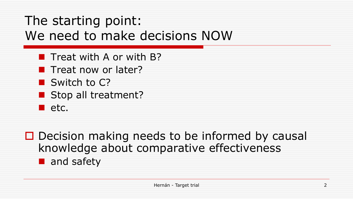### The starting point: We need to make decisions NOW

- $\blacksquare$  Treat with A or with B?
- **Theat now or later?**
- Switch to C?
- Stop all treatment?
- $\blacksquare$  etc.

 $\Box$  Decision making needs to be informed by causal knowledge about comparative effectiveness and safety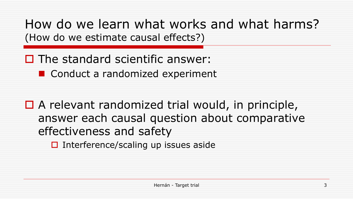How do we learn what works and what harms? (How do we estimate causal effects?)

 $\Box$  The standard scientific answer:

■ Conduct a randomized experiment

 $\Box$  A relevant randomized trial would, in principle, answer each causal question about comparative effectiveness and safety

 $\Box$  Interference/scaling up issues aside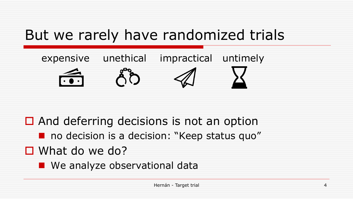# But we rarely have randomized trials



 $\Box$  And deferring decisions is not an option

no decision is a decision: "Keep status quo"

■ What do we do?

**Ne analyze observational data**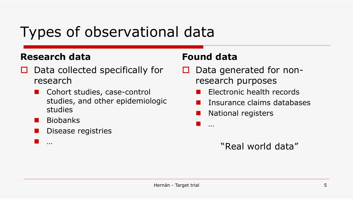# Types of observational data

#### **Research data**

- $\Box$  Data collected specifically for research
	- Cohort studies, case-control studies, and other epidemiologic studies
	- **Biobanks**

…

Disease registries

#### **Found data**

 $\sim$ 

- $\Box$  Data generated for nonresearch purposes
	- **E** Electronic health records
	- Insurance claims databases
	- National registers

#### "Real world data"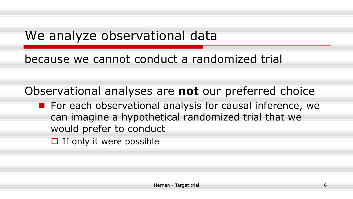### We analyze observational data

because we cannot conduct a randomized trial

Observational analyses are **not** our preferred choice

- **For each observational analysis for causal inference, we** can imagine a hypothetical randomized trial that we would prefer to conduct
	- $\Box$  If only it were possible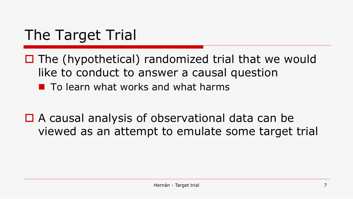# The Target Trial

 $\Box$  The (hypothetical) randomized trial that we would like to conduct to answer a causal question **To learn what works and what harms** 

■ A causal analysis of observational data can be viewed as an attempt to emulate some target trial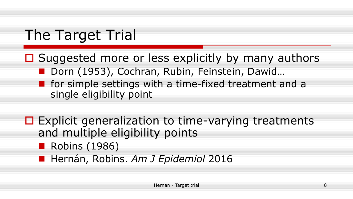# The Target Trial

- $\Box$  Suggested more or less explicitly by many authors ■ Dorn (1953), Cochran, Rubin, Feinstein, Dawid...  $\blacksquare$  for simple settings with a time-fixed treatment and a single eligibility point
- $\Box$  Explicit generalization to time-varying treatments and multiple eligibility points
	- Robins (1986)
	- **Hernán, Robins. Am J Epidemiol 2016**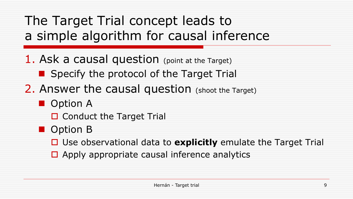The Target Trial concept leads to a simple algorithm for causal inference

1. Ask a causal question (point at the Target)

**Specify the protocol of the Target Trial** 

2. Answer the causal question (shoot the Target)

**D** Option A

 $\Box$  Conduct the Target Trial

**D** Option B

■ Use observational data to explicitly emulate the Target Trial

 $\Box$  Apply appropriate causal inference analytics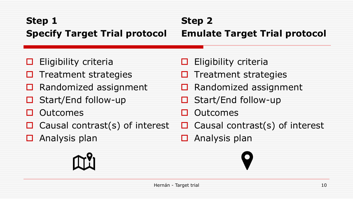#### **Step 1 Specify Target Trial protocol Step 2**

#### **Emulate Target Trial protocol**

- $\Box$  Eligibility criteria
- $\Box$  Treatment strategies
- $\Box$  Randomized assignment
- $\Box$  Start/End follow-up
- □ Outcomes
- $\Box$  Causal contrast(s) of interest
- $\Box$  Analysis plan



- $\Box$  Eligibility criteria
- $\Box$  Treatment strategies
- $\Box$  Randomized assignment
- $\Box$  Start/End follow-up
- □ Outcomes
- $\Box$  Causal contrast(s) of interest
- $\Box$  Analysis plan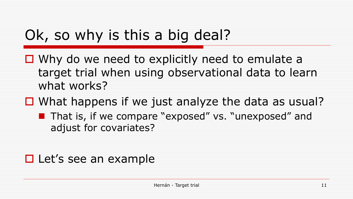# Ok, so why is this a big deal?

- $\Box$  Why do we need to explicitly need to emulate a target trial when using observational data to learn what works?
- $\Box$  What happens if we just analyze the data as usual?
	- **That is, if we compare "exposed" vs. "unexposed" and** adjust for covariates?

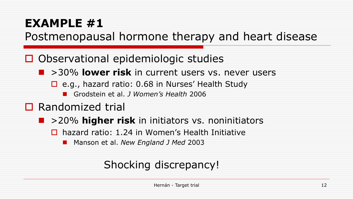### **EXAMPLE #1**

Postmenopausal hormone therapy and heart disease

□ Observational epidemiologic studies

- >30% **lower risk** in current users vs. never users
	- □ e.g., hazard ratio: 0.68 in Nurses' Health Study
		- Grodstein et al. *J Women's Health* 2006
- **□** Randomized trial
	- **1** > 20% **higher risk** in initiators vs. noninitiators
		- $\Box$  hazard ratio: 1.24 in Women's Health Initiative
			- Manson et al. *New England J Med* 2003

#### Shocking discrepancy!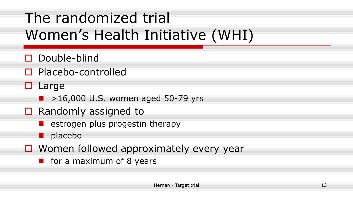# The randomized trial Women's Health Initiative (WHI)

- Double-blind
- □ Placebo-controlled
- $\Box$  Large
	- $\blacktriangleright$  >16,000 U.S. women aged 50-79 yrs
- $\Box$  Randomly assigned to
	- $\blacksquare$  estrogen plus progestin therapy
	- **n** placebo
- $\Box$  Women followed approximately every year
	- $\blacksquare$  for a maximum of 8 years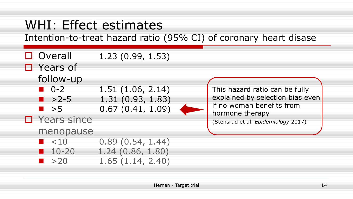### WHI: Effect estimates

Intention-to-treat hazard ratio (95% CI) of coronary heart disase

 $\Box$  Overall 1.23 (0.99, 1.53)



This hazard ratio can be fully explained by selection bias even if no woman benefits from hormone therapy (Stensrud et al. *Epidemiology* 2017)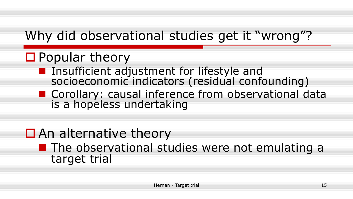# Why did observational studies get it "wrong"?

### ■ Popular theory

- **Insufficient adjustment for lifestyle and** socioeconomic indicators (residual confounding)
- **Corollary: causal inference from observational data** is a hopeless undertaking

### $\Box$  An alternative theory

#### **The observational studies were not emulating a** target trial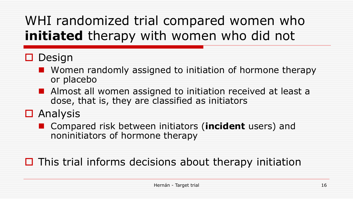# WHI randomized trial compared women who **initiated** therapy with women who did not

#### $\Box$  Design

- **Nomen randomly assigned to initiation of hormone therapy** or placebo
- **Almost all women assigned to initiation received at least a** dose, that is, they are classified as initiators
- **□** Analysis
	- Compared risk between initiators (**incident** users) and noninitiators of hormone therapy

#### $\Box$  This trial informs decisions about therapy initiation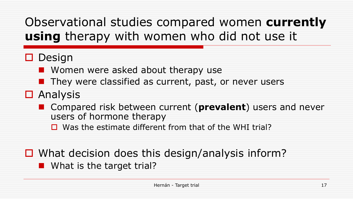### Observational studies compared women **currently using** therapy with women who did not use it

#### $\Box$  Design

**Nomen were asked about therapy use** 

- $\blacksquare$  They were classified as current, past, or never users
- **O** Analysis
	- **E** Compared risk between current (**prevalent**) users and never users of hormone therapy
		- $\Box$  Was the estimate different from that of the WHI trial?

 $\Box$  What decision does this design/analysis inform? **Not Is the target trial?**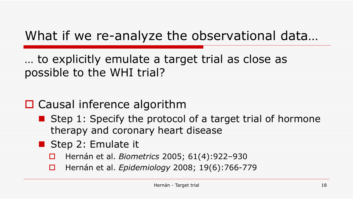# What if we re-analyze the observational data…

… to explicitly emulate a target trial as close as possible to the WHI trial?

### □ Causal inference algorithm

- Step 1: Specify the protocol of a target trial of hormone therapy and coronary heart disease
- Step 2: Emulate it
	- Hernán et al. *Biometrics* 2005; 61(4):922–930
	- Hernán et al. *Epidemiology* 2008; 19(6):766-779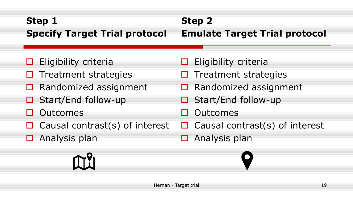#### **Step 1 Specify Target Trial protocol Step 2**

### **Emulate Target Trial protocol**

- $\Box$  Eligibility criteria
- $\Box$  Treatment strategies
- $\Box$  Randomized assignment
- $\Box$  Start/End follow-up
- □ Outcomes
- $\Box$  Causal contrast(s) of interest
- $\Box$  Analysis plan



- $\Box$  Eligibility criteria
- $\Box$  Treatment strategies
- $\Box$  Randomized assignment
- $\Box$  Start/End follow-up
- □ Outcomes
- $\Box$  Causal contrast(s) of interest
- $\Box$  Analysis plan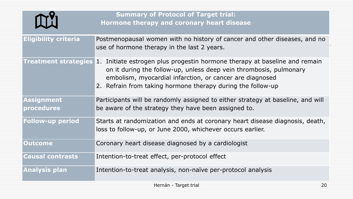|                                 | <b>Summary of Protocol of Target trial:</b><br>Hormone therapy and coronary heart disease                                                                                                                                                                                                               |
|---------------------------------|---------------------------------------------------------------------------------------------------------------------------------------------------------------------------------------------------------------------------------------------------------------------------------------------------------|
| <b>Eligibility criteria</b>     | Postmenopausal women with no history of cancer and other diseases, and no<br>use of hormone therapy in the last 2 years.                                                                                                                                                                                |
|                                 | <b>Treatment strategies 1.</b> Initiate estrogen plus progestin hormone therapy at baseline and remain<br>on it during the follow-up, unless deep vein thrombosis, pulmonary<br>embolism, myocardial infarction, or cancer are diagnosed<br>2. Refrain from taking hormone therapy during the follow-up |
| <b>Assignment</b><br>procedures | Participants will be randomly assigned to either strategy at baseline, and will<br>be aware of the strategy they have been assigned to.                                                                                                                                                                 |
| <b>Follow-up period</b>         | Starts at randomization and ends at coronary heart disease diagnosis, death,<br>loss to follow-up, or June 2000, whichever occurs earlier.                                                                                                                                                              |
| <b>Outcome</b>                  | Coronary heart disease diagnosed by a cardiologist                                                                                                                                                                                                                                                      |
| <b>Causal contrasts</b>         | Intention-to-treat effect, per-protocol effect                                                                                                                                                                                                                                                          |
| <b>Analysis plan</b>            | Intention-to-treat analysis, non-naïve per-protocol analysis                                                                                                                                                                                                                                            |
|                                 | Hernán - Target trial<br>20                                                                                                                                                                                                                                                                             |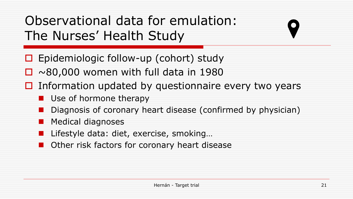# Observational data for emulation: The Nurses' Health Study

- $\Box$  Epidemiologic follow-up (cohort) study
- $\Box \sim 80,000$  women with full data in 1980
- $\Box$  Information updated by questionnaire every two years
	- **Use of hormone therapy**
	- Diagnosis of coronary heart disease (confirmed by physician)
	- Medical diagnoses
	- Lifestyle data: diet, exercise, smoking…
	- Other risk factors for coronary heart disease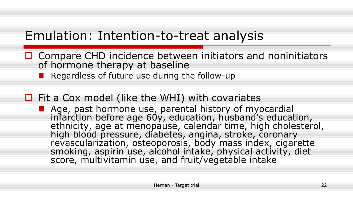### Emulation: Intention-to-treat analysis

- $\Box$  Compare CHD incidence between initiators and noninitiators of hormone therapy at baseline
	- Regardless of future use during the follow-up

#### $\Box$  Fit a Cox model (like the WHI) with covariates

■ Age, past hormone use, parental history of myocardial infarction before age 60y, education, husband's education, ethnicity, age at menopause, calendar time, high cholesterol, high blood pressure, diabetes, angina, stroke, coronary revascularization, osteoporosis, body mass index, cigarette smoking, aspirin use, alcohol intake, physical activity, diet score, multivitamin use, and fruit/vegetable intake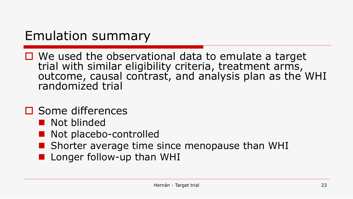### Emulation summary

 $\Box$  We used the observational data to emulate a target trial with similar eligibility criteria, treatment arms, outcome, causal contrast, and analysis plan as the WHI randomized trial

#### **□** Some differences

- **Not blinded**
- Not placebo-controlled
- **Shorter average time since menopause than WHI**
- **Longer follow-up than WHI**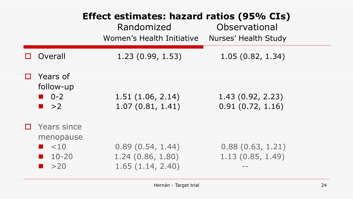|   |                                                                                     | Effect estimates: hazard ratios (95% CIs)<br>Randomized<br>Women's Health Initiative | Observational<br>Nurses' Health Study |
|---|-------------------------------------------------------------------------------------|--------------------------------------------------------------------------------------|---------------------------------------|
|   | Overall                                                                             | 1.23(0.99, 1.53)                                                                     | 1.05(0.82, 1.34)                      |
| П | Years of<br>follow-up<br>$\blacksquare$ 0-2<br>$\blacksquare$ >2                    | 1.51(1.06, 2.14)<br>1.07(0.81, 1.41)                                                 | 1.43(0.92, 2.23)<br>0.91(0.72, 1.16)  |
|   | Years since<br>menopause<br>$\leq 10$<br>$\blacksquare$ 10-20<br>$\blacksquare$ >20 | 0.89(0.54, 1.44)<br>1.24(0.86, 1.80)<br>1.65(1.14, 2.40)                             | 0.88(0.63, 1.21)<br>1.13(0.85, 1.49)  |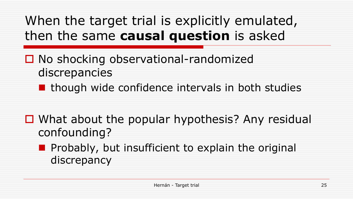# When the target trial is explicitly emulated, then the same **causal question** is asked

- □ No shocking observational-randomized discrepancies
	- $\blacksquare$  though wide confidence intervals in both studies
- $\Box$  What about the popular hypothesis? Any residual confounding?
	- **Probably, but insufficient to explain the original** discrepancy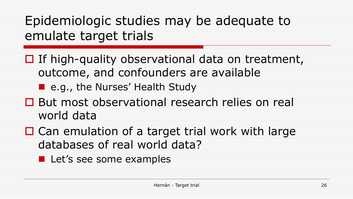Epidemiologic studies may be adequate to emulate target trials

- $\Box$  If high-quality observational data on treatment, outcome, and confounders are available
	- e.g., the Nurses' Health Study
- But most observational research relies on real world data
- $\Box$  Can emulation of a target trial work with large databases of real world data?
	- **Let's see some examples**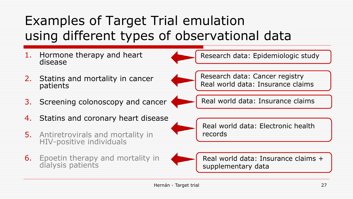# Examples of Target Trial emulation using different types of observational data



6. Epoetin therapy and mortality in dialysis patients



Real world data: Insurance claims + supplementary data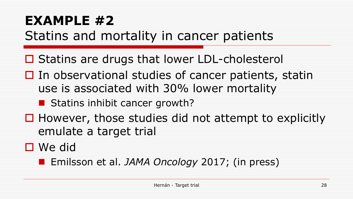# **EXAMPLE #2** Statins and mortality in cancer patients

**□ Statins are drugs that lower LDL-cholesterol** 

 $\Box$  In observational studies of cancer patients, statin use is associated with 30% lower mortality

■ Statins inhibit cancer growth?

 $\Box$  However, those studies did not attempt to explicitly emulate a target trial

We did

Emilsson et al. *JAMA Oncology* 2017; (in press)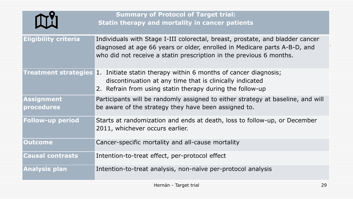|                                 | <b>Summary of Protocol of Target trial:</b><br>Statin therapy and mortality in cancer patients                                                                                                                                    |
|---------------------------------|-----------------------------------------------------------------------------------------------------------------------------------------------------------------------------------------------------------------------------------|
| <b>Eligibility criteria</b>     | Individuals with Stage I-III colorectal, breast, prostate, and bladder cancer<br>diagnosed at age 66 years or older, enrolled in Medicare parts A-B-D, and<br>who did not receive a statin prescription in the previous 6 months. |
|                                 | <b>Treatment strategies 1. Initiate statin therapy within 6 months of cancer diagnosis;</b><br>discontinuation at any time that is clinically indicated<br>2. Refrain from using statin therapy during the follow-up              |
| <b>Assignment</b><br>procedures | Participants will be randomly assigned to either strategy at baseline, and will<br>be aware of the strategy they have been assigned to.                                                                                           |
| <b>Follow-up period</b>         | Starts at randomization and ends at death, loss to follow-up, or December<br>2011, whichever occurs earlier.                                                                                                                      |
| <b>Outcome</b>                  | Cancer-specific mortality and all-cause mortality                                                                                                                                                                                 |
| <b>Causal contrasts</b>         | Intention-to-treat effect, per-protocol effect                                                                                                                                                                                    |
| <b>Analysis plan</b>            | Intention-to-treat analysis, non-naïve per-protocol analysis                                                                                                                                                                      |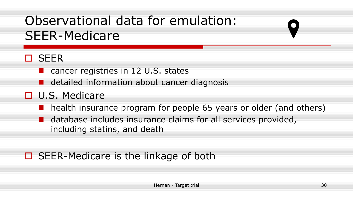# Observational data for emulation: SEER-Medicare

#### **O** SEER

■ cancer registries in 12 U.S. states

**d** detailed information about cancer diagnosis

#### **□** U.S. Medicare

**health insurance program for people 65 years or older (and others)** 

**database includes insurance claims for all services provided,** including statins, and death

#### $\Box$  SEER-Medicare is the linkage of both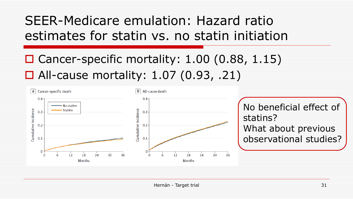### SEER-Medicare emulation: Hazard ratio estimates for statin vs. no statin initiation

### $\Box$  Cancer-specific mortality: 1.00 (0.88, 1.15) □ All-cause mortality: 1.07 (0.93, .21)

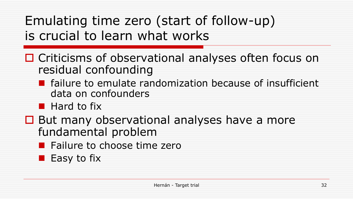Emulating time zero (start of follow-up) is crucial to learn what works

- □ Criticisms of observational analyses often focus on residual confounding
	- **E** failure to emulate randomization because of insufficient data on confounders
	- **Hard to fix**
- $\Box$  But many observational analyses have a more fundamental problem
	- **Failure to choose time zero**
	- **Easy to fix**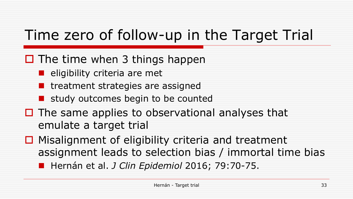# Time zero of follow-up in the Target Trial

#### $\Box$  The time when 3 things happen

- $\blacksquare$  eligibility criteria are met
- **T** treatment strategies are assigned
- **Study outcomes begin to be counted**
- $\Box$  The same applies to observational analyses that emulate a target trial
- $\Box$  Misalignment of eligibility criteria and treatment assignment leads to selection bias / immortal time bias ■ Hernán et al. *J Clin Epidemiol* 2016; 79:70-75.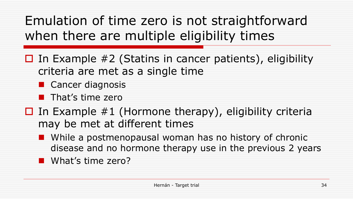Emulation of time zero is not straightforward when there are multiple eligibility times

- $\Box$  In Example #2 (Statins in cancer patients), eligibility criteria are met as a single time
	- **Cancer diagnosis**
	- $\blacksquare$  That's time zero
- $\Box$  In Example #1 (Hormone therapy), eligibility criteria may be met at different times
	- **Notally 19 assets** Woman has no history of chronic disease and no hormone therapy use in the previous 2 years
	- **Not's time zero?**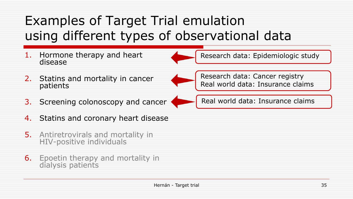# Examples of Target Trial emulation using different types of observational data



- 4. Statins and coronary heart disease
- 5. Antiretrovirals and mortality in HIV-positive individuals
- **6.** Epoetin therapy and mortality in dialysis patients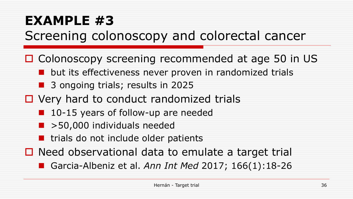### **EXAMPLE #3** Screening colonoscopy and colorectal cancer

- □ Colonoscopy screening recommended at age 50 in US
	- **u** but its effectiveness never proven in randomized trials
	- 3 ongoing trials; results in 2025
- □ Very hard to conduct randomized trials
	- 10-15 years of follow-up are needed
	- $\blacktriangleright$  50,000 individuals needed
	- **u** trials do not include older patients
- $\Box$  Need observational data to emulate a target trial
	- Garcia-Albeniz et al. *Ann Int Med* 2017; 166(1):18-26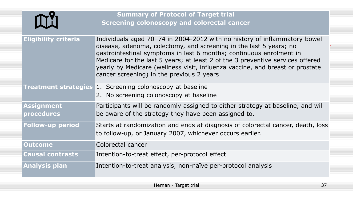|                             | <b>Summary of Protocol of Target trial</b><br><b>Screening colonoscopy and colorectal cancer</b>                                                                                                                                                                                                                                                                                                                                       |
|-----------------------------|----------------------------------------------------------------------------------------------------------------------------------------------------------------------------------------------------------------------------------------------------------------------------------------------------------------------------------------------------------------------------------------------------------------------------------------|
| <b>Eligibility criteria</b> | Individuals aged 70–74 in 2004-2012 with no history of inflammatory bowel<br>disease, adenoma, colectomy, and screening in the last 5 years; no<br>gastrointestinal symptoms in last 6 months; continuous enrolment in<br>Medicare for the last 5 years; at least 2 of the 3 preventive services offered<br>yearly by Medicare (wellness visit, influenza vaccine, and breast or prostate<br>cancer screening) in the previous 2 years |
|                             | <b>Treatment strategies 1. Screening colonoscopy at baseline</b><br>2. No screening colonoscopy at baseline                                                                                                                                                                                                                                                                                                                            |
| Assignment<br>procedures    | Participants will be randomly assigned to either strategy at baseline, and will<br>be aware of the strategy they have been assigned to.                                                                                                                                                                                                                                                                                                |
| <b>Follow-up period</b>     | Starts at randomization and ends at diagnosis of colorectal cancer, death, loss<br>to follow-up, or January 2007, whichever occurs earlier.                                                                                                                                                                                                                                                                                            |
| <b>Outcome</b>              | Colorectal cancer                                                                                                                                                                                                                                                                                                                                                                                                                      |
| <b>Causal contrasts</b>     | Intention-to-treat effect, per-protocol effect                                                                                                                                                                                                                                                                                                                                                                                         |
| <b>Analysis plan</b>        | Intention-to-treat analysis, non-naïve per-protocol analysis                                                                                                                                                                                                                                                                                                                                                                           |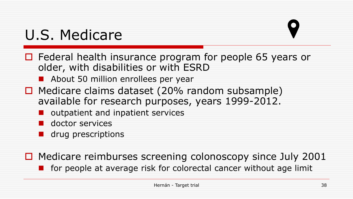# U.S. Medicare

- $\Box$  Federal health insurance program for people 65 years or older, with disabilities or with ESRD
	- **About 50 million enrollees per year**
- $\Box$  Medicare claims dataset (20% random subsample) available for research purposes, years 1999-2012.
	- **u** outpatient and inpatient services
	- **doctor services**
	- **drug prescriptions**

 $\Box$  Medicare reimburses screening colonoscopy since July 2001  $\blacksquare$  for people at average risk for colorectal cancer without age limit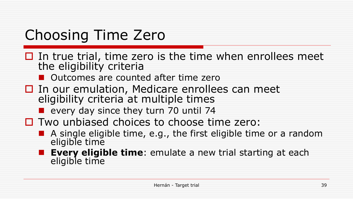# Choosing Time Zero

- $\Box$  In true trial, time zero is the time when enrollees meet the eligibility criteria
	- **Outcomes are counted after time zero**
- $\Box$  In our emulation, Medicare enrollees can meet eligibility criteria at multiple times
	- **E** every day since they turn 70 until 74
- $\Box$  Two unbiased choices to choose time zero:
	- A single eligible time, e.g., the first eligible time or a random eligible time
		- **Every eligible time**: emulate a new trial starting at each eligible time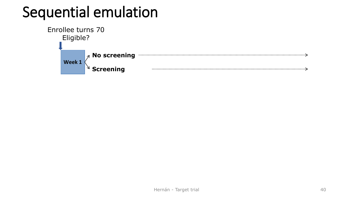# Sequential emulation

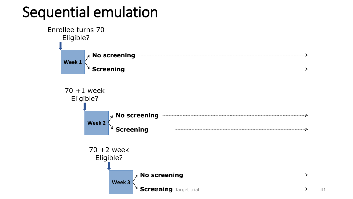# Sequential emulation

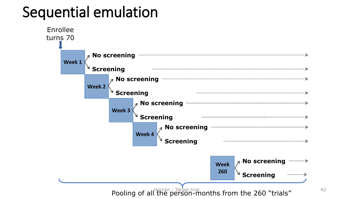# Sequential emulation

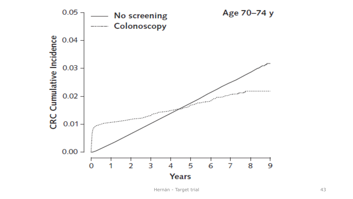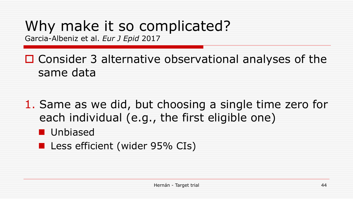# Why make it so complicated?

Garcia-Albeniz et al. *Eur J Epid* 2017

 $\Box$  Consider 3 alternative observational analyses of the same data

1. Same as we did, but choosing a single time zero for each individual (e.g., the first eligible one)

- Unbiased
- **Less efficient (wider 95% CIs)**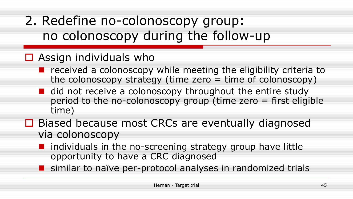# 2. Redefine no-colonoscopy group: no colonoscopy during the follow-up

#### $\Box$  Assign individuals who

- $\blacksquare$  received a colonoscopy while meeting the eligibility criteria to the colonoscopy strategy (time zero  $=$  time of colonoscopy)
- did not receive a colonoscopy throughout the entire study period to the no-colonoscopy group (time zero  $=$  first eligible time)
- $\Box$  Biased because most CRCs are eventually diagnosed via colonoscopy
	- **I** individuals in the no-screening strategy group have little opportunity to have a CRC diagnosed
	- **S** similar to naïve per-protocol analyses in randomized trials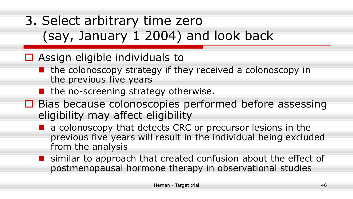# 3. Select arbitrary time zero (say, January 1 2004) and look back

#### $\Box$  Assign eligible individuals to

- $\blacksquare$  the colonoscopy strategy if they received a colonoscopy in the previous five years
- **I** the no-screening strategy otherwise.
- □ Bias because colonoscopies performed before assessing eligibility may affect eligibility
	- **a** a colonoscopy that detects CRC or precursor lesions in the previous five years will result in the individual being excluded from the analysis
	- **S** similar to approach that created confusion about the effect of postmenopausal hormone therapy in observational studies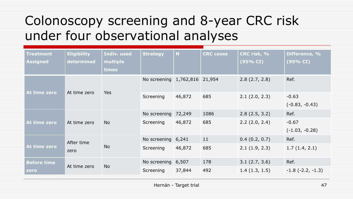### Colonoscopy screening and 8-year CRC risk under four observational analyses

| <b>Treatment</b><br><b>Assigned</b> | <b>Eligibility</b><br>determined | Indiv. used<br>multiple<br>times | <b>Strategy</b>               | $\overline{\mathsf{N}}$ | <b>CRC</b> cases | CRC risk, %<br>(95% CI) | Difference, %<br>(95% CI)   |
|-------------------------------------|----------------------------------|----------------------------------|-------------------------------|-------------------------|------------------|-------------------------|-----------------------------|
|                                     |                                  |                                  | No screening 1,762,816 21,954 |                         |                  | 2.8(2.7, 2.8)           | Ref.                        |
| At time zero                        | At time zero                     | <b>Yes</b>                       | Screening                     | 46,872                  | 685              | 2.1(2.0, 2.3)           | $-0.63$<br>$(-0.83, -0.43)$ |
|                                     |                                  |                                  | No screening                  | 72,249                  | 1086             | 2.8(2.5, 3.2)           | Ref.                        |
| At time zero                        | At time zero                     | <b>No</b>                        | Screening                     | 46,872                  | 685              | 2.2(2.0, 2.4)           | $-0.67$<br>$(-1.03, -0.28)$ |
| At time zero                        | After time<br>zero               | <b>No</b>                        | No screening 6,241            |                         | 11               | 0.4(0.2, 0.7)           | Ref.                        |
|                                     |                                  |                                  | Screening                     | 46,872                  | 685              | 2.1(1.9, 2.3)           | 1.7(1.4, 2.1)               |
| <b>Before time</b>                  | At time zero                     | <b>No</b>                        | No screening                  | 6,507                   | 178              | 3.1(2.7, 3.6)           | Ref.                        |
| zero'                               |                                  |                                  | Screening                     | 37,844                  | 492              | 1.4(1.3, 1.5)           | $-1.8$ ( $-2.2, -1.3$ )     |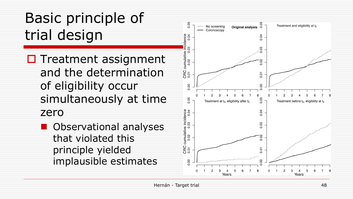# Basic principle of trial design

 $\Box$  Treatment assignment and the determination of eligibility occur simultaneously at time zero

**D** Observational analyses that violated this principle yielded implausible estimates

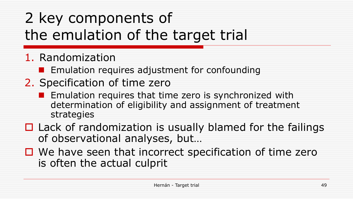# 2 key components of the emulation of the target trial

- 1. Randomization
	- **EXECUTE:** Emulation requires adjustment for confounding
- 2. Specification of time zero
	- Emulation requires that time zero is synchronized with determination of eligibility and assignment of treatment strategies
- $\Box$  Lack of randomization is usually blamed for the failings of observational analyses, but…
- $\Box$  We have seen that incorrect specification of time zero is often the actual culprit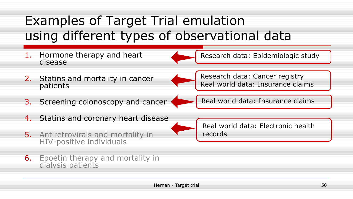# Examples of Target Trial emulation using different types of observational data



- 5. Antiretrovirals and mortality in HIV-positive individuals
- **6.** Epoetin therapy and mortality in dialysis patients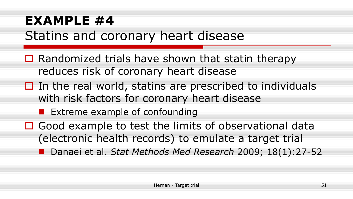# **EXAMPLE #4** Statins and coronary heart disease

- $\Box$  Randomized trials have shown that statin therapy reduces risk of coronary heart disease
- $\Box$  In the real world, statins are prescribed to individuals with risk factors for coronary heart disease
	- **Extreme example of confounding**
- □ Good example to test the limits of observational data (electronic health records) to emulate a target trial

■ Danaei et al. *Stat Methods Med Research* 2009; 18(1):27-52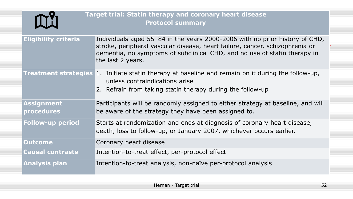|                             | <b>Target trial: Statin therapy and coronary heart disease</b><br><b>Protocol summary</b>                                                                                                                                                                     |
|-----------------------------|---------------------------------------------------------------------------------------------------------------------------------------------------------------------------------------------------------------------------------------------------------------|
| <b>Eligibility criteria</b> | Individuals aged 55–84 in the years 2000-2006 with no prior history of CHD,<br>stroke, peripheral vascular disease, heart failure, cancer, schizophrenia or<br>dementia, no symptoms of subclinical CHD, and no use of statin therapy in<br>the last 2 years. |
|                             | <b>Treatment strategies 1.</b> Initiate statin therapy at baseline and remain on it during the follow-up,<br>unless contraindications arise<br>2. Refrain from taking statin therapy during the follow-up                                                     |
| Assignment<br>procedures    | Participants will be randomly assigned to either strategy at baseline, and will<br>be aware of the strategy they have been assigned to.                                                                                                                       |
| <b>Follow-up period</b>     | Starts at randomization and ends at diagnosis of coronary heart disease,<br>death, loss to follow-up, or January 2007, whichever occurs earlier.                                                                                                              |
| <b>Outcome</b>              | Coronary heart disease                                                                                                                                                                                                                                        |
| <b>Causal contrasts</b>     | Intention-to-treat effect, per-protocol effect                                                                                                                                                                                                                |
| <b>Analysis plan</b>        | Intention-to-treat analysis, non-naïve per-protocol analysis                                                                                                                                                                                                  |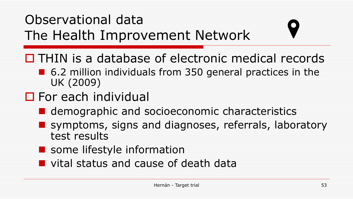# Observational data The Health Improvement Network

- $\Box$  THIN is a database of electronic medical records
	- 6.2 million individuals from 350 general practices in the UK (2009)
- **D** For each individual
	- **E** demographic and socioeconomic characteristics
	- **E** symptoms, signs and diagnoses, referrals, laboratory test results
	- **Some lifestyle information**
	- **u** vital status and cause of death data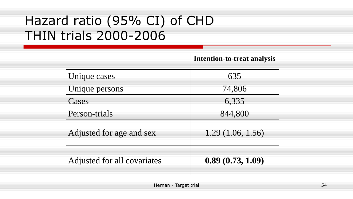### Hazard ratio (95% CI) of CHD THIN trials 2000-2006

|                             | <b>Intention-to-treat analysis</b> |
|-----------------------------|------------------------------------|
| Unique cases                | 635                                |
| Unique persons              | 74,806                             |
| Cases                       | 6,335                              |
| Person-trials               | 844,800                            |
| Adjusted for age and sex    | 1.29(1.06, 1.56)                   |
| Adjusted for all covariates | 0.89(0.73, 1.09)                   |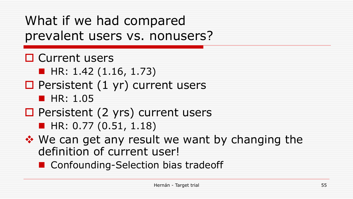### What if we had compared prevalent users vs. nonusers?

- □ Current users  $\blacksquare$  HR: 1.42 (1.16, 1.73)  $\Box$  Persistent (1 yr) current users  $\blacksquare$  HR: 1.05 □ Persistent (2 yrs) current users  $H$  HR: 0.77 (0.51, 1.18)
- ◆ We can get any result we want by changing the definition of current user!
	- Confounding-Selection bias tradeoff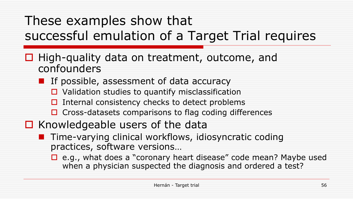# These examples show that successful emulation of a Target Trial requires

- $\Box$  High-quality data on treatment, outcome, and confounders
	- **I** If possible, assessment of data accuracy
		- $\Box$  Validation studies to quantify misclassification
		- $\Box$  Internal consistency checks to detect problems
		- $\Box$  Cross-datasets comparisons to flag coding differences
- $\Box$  Knowledgeable users of the data
	- **T** Time-varying clinical workflows, idiosyncratic coding practices, software versions…
		- $\Box$  e.g., what does a "coronary heart disease" code mean? Maybe used when a physician suspected the diagnosis and ordered a test?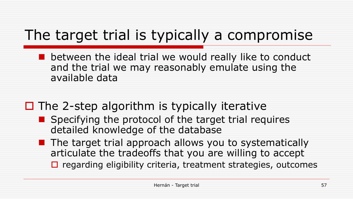# The target trial is typically a compromise

 between the ideal trial we would really like to conduct and the trial we may reasonably emulate using the available data

#### $\Box$  The 2-step algorithm is typically iterative

- Specifying the protocol of the target trial requires detailed knowledge of the database
- **The target trial approach allows you to systematically** articulate the tradeoffs that you are willing to accept
	- $\Box$  regarding eligibility criteria, treatment strategies, outcomes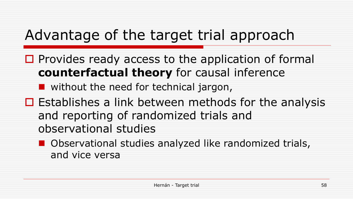# Advantage of the target trial approach

 $\Box$  Provides ready access to the application of formal **counterfactual theory** for causal inference

**Notable 19 without the need for technical jargon,** 

- $\Box$  Establishes a link between methods for the analysis and reporting of randomized trials and observational studies
	- **Observational studies analyzed like randomized trials,** and vice versa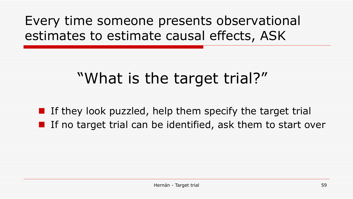### Every time someone presents observational estimates to estimate causal effects, ASK

# "What is the target trial?"

If they look puzzled, help them specify the target trial I If no target trial can be identified, ask them to start over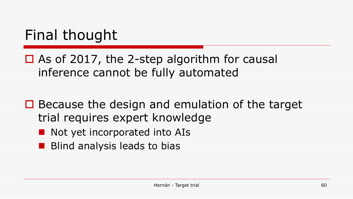# Final thought

- $\Box$  As of 2017, the 2-step algorithm for causal inference cannot be fully automated
- $\Box$  Because the design and emulation of the target trial requires expert knowledge
	- Not yet incorporated into AIs
	- **Blind analysis leads to bias**